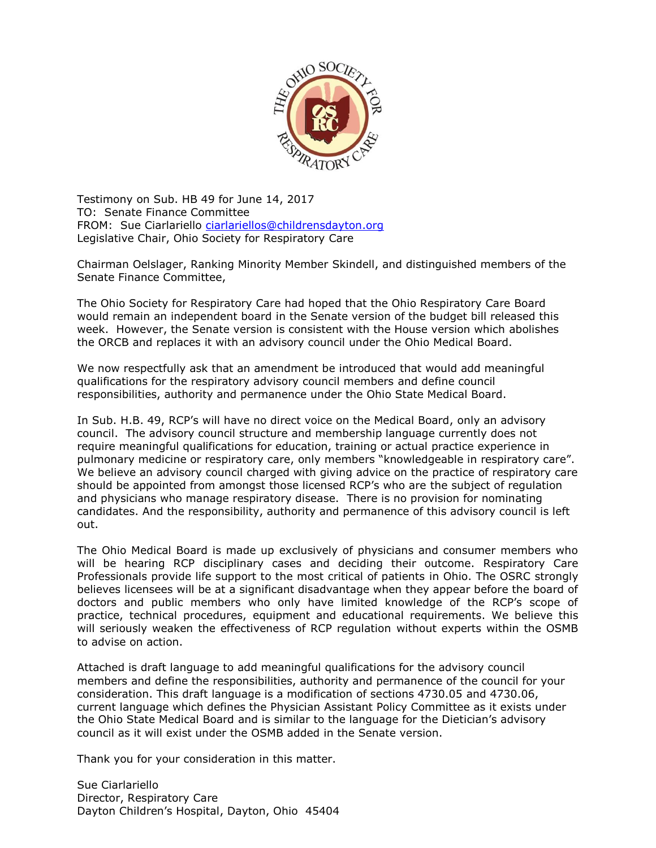

Testimony on Sub. HB 49 for June 14, 2017 TO: Senate Finance Committee FROM: Sue Ciarlariello [ciarlariellos@childrensdayton.org](mailto:ciarlariellos@childrensdayton.org) Legislative Chair, Ohio Society for Respiratory Care

Chairman Oelslager, Ranking Minority Member Skindell, and distinguished members of the Senate Finance Committee,

The Ohio Society for Respiratory Care had hoped that the Ohio Respiratory Care Board would remain an independent board in the Senate version of the budget bill released this week. However, the Senate version is consistent with the House version which abolishes the ORCB and replaces it with an advisory council under the Ohio Medical Board.

We now respectfully ask that an amendment be introduced that would add meaningful qualifications for the respiratory advisory council members and define council responsibilities, authority and permanence under the Ohio State Medical Board.

In Sub. H.B. 49, RCP's will have no direct voice on the Medical Board, only an advisory council. The advisory council structure and membership language currently does not require meaningful qualifications for education, training or actual practice experience in pulmonary medicine or respiratory care, only members "knowledgeable in respiratory care". We believe an advisory council charged with giving advice on the practice of respiratory care should be appointed from amongst those licensed RCP's who are the subject of regulation and physicians who manage respiratory disease. There is no provision for nominating candidates. And the responsibility, authority and permanence of this advisory council is left out.

The Ohio Medical Board is made up exclusively of physicians and consumer members who will be hearing RCP disciplinary cases and deciding their outcome. Respiratory Care Professionals provide life support to the most critical of patients in Ohio. The OSRC strongly believes licensees will be at a significant disadvantage when they appear before the board of doctors and public members who only have limited knowledge of the RCP's scope of practice, technical procedures, equipment and educational requirements. We believe this will seriously weaken the effectiveness of RCP regulation without experts within the OSMB to advise on action.

Attached is draft language to add meaningful qualifications for the advisory council members and define the responsibilities, authority and permanence of the council for your consideration. This draft language is a modification of sections 4730.05 and 4730.06, current language which defines the Physician Assistant Policy Committee as it exists under the Ohio State Medical Board and is similar to the language for the Dietician's advisory council as it will exist under the OSMB added in the Senate version.

Thank you for your consideration in this matter.

Sue Ciarlariello Director, Respiratory Care Dayton Children's Hospital, Dayton, Ohio 45404